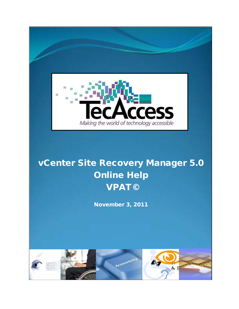

# vCenter Site Recovery Manager 5.0 Online Help VPAT©

November 3, 2011

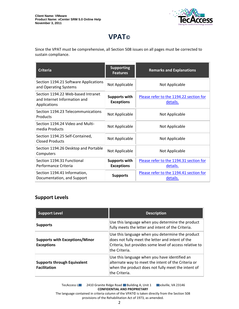

## **VPAT©**

Since the VPAT must be comprehensive, all Section 508 issues on all pages must be corrected to sustain compliance.

| <b>Criteria</b>                                                                    | <b>Supporting</b><br><b>Features</b>      | <b>Remarks and Explanations</b>                     |
|------------------------------------------------------------------------------------|-------------------------------------------|-----------------------------------------------------|
| Section 1194.21 Software Applications<br>and Operating Systems                     | Not Applicable                            | Not Applicable                                      |
| Section 1194.22 Web-based Intranet<br>and Internet Information and<br>Applications | <b>Supports with</b><br><b>Exceptions</b> | Please refer to the 1194.22 section for<br>details. |
| Section 1194.23 Telecommunications<br>Products                                     | Not Applicable                            | Not Applicable                                      |
| Section 1194.24 Video and Multi-<br>media Products                                 | Not Applicable                            | Not Applicable                                      |
| Section 1194.25 Self-Contained,<br><b>Closed Products</b>                          | Not Applicable                            | Not Applicable                                      |
| Section 1194.26 Desktop and Portable<br>Computers                                  | Not Applicable                            | Not Applicable                                      |
| Section 1194.31 Functional<br>Performance Criteria                                 | <b>Supports with</b><br><b>Exceptions</b> | Please refer to the 1194.31 section for<br>details. |
| Section 1194.41 Information,<br>Documentation, and Support                         | <b>Supports</b>                           | Please refer to the 1194.41 section for<br>details. |

#### **Support Levels**

| <b>Support Level</b>                                       | <b>Description</b>                                                                                                                                                               |
|------------------------------------------------------------|----------------------------------------------------------------------------------------------------------------------------------------------------------------------------------|
| <b>Supports</b>                                            | Use this language when you determine the product<br>fully meets the letter and intent of the Criteria.                                                                           |
| <b>Supports with Exceptions/Minor</b><br><b>Exceptions</b> | Use this language when you determine the product<br>does not fully meet the letter and intent of the<br>Criteria, but provides some level of access relative to<br>the Criteria. |
| <b>Supports through Equivalent</b><br><b>Facilitation</b>  | Use this language when you have identified an<br>alternate way to meet the intent of the Criteria or<br>when the product does not fully meet the intent of<br>the Criteria.      |

TecAccess LLC 2410 Granite Ridge Road Building A, Unit 1 Dickville, VA 23146 **CONFIDENTIAL AND PROPRIETARY** The language contained in criteria column of the VPAT© is taken directly from the Section 508

provisions of the Rehabilitation Act of 1973, as amended.

2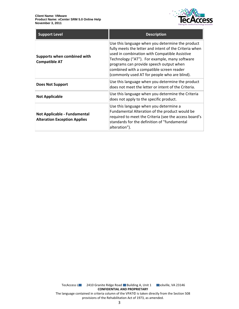

| <b>Support Level</b>                                                       | <b>Description</b>                                                                                                                                                                                                                                                                                                                                  |
|----------------------------------------------------------------------------|-----------------------------------------------------------------------------------------------------------------------------------------------------------------------------------------------------------------------------------------------------------------------------------------------------------------------------------------------------|
| Supports when combined with<br><b>Compatible AT</b>                        | Use this language when you determine the product<br>fully meets the letter and intent of the Criteria when<br>used in combination with Compatible Assistive<br>Technology ("AT"). For example, many software<br>programs can provide speech output when<br>combined with a compatible screen reader<br>(commonly used AT for people who are blind). |
| <b>Does Not Support</b>                                                    | Use this language when you determine the product<br>does not meet the letter or intent of the Criteria.                                                                                                                                                                                                                                             |
| <b>Not Applicable</b>                                                      | Use this language when you determine the Criteria<br>does not apply to the specific product.                                                                                                                                                                                                                                                        |
| <b>Not Applicable - Fundamental</b><br><b>Alteration Exception Applies</b> | Use this language when you determine a<br>Fundamental Alteration of the product would be<br>required to meet the Criteria (see the access board's<br>standards for the definition of "fundamental<br>alteration").                                                                                                                                  |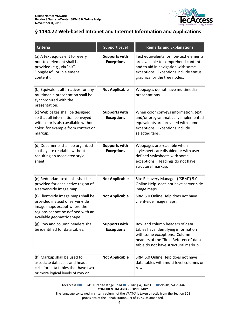

### <span id="page-3-0"></span>**§ 1194.22 Web-based Intranet and Internet Information and Applications**

| <b>Criteria</b>                                                                                                                                                          | <b>Support Level</b>                      | <b>Remarks and Explanations</b>                                                                                                                                                              |
|--------------------------------------------------------------------------------------------------------------------------------------------------------------------------|-------------------------------------------|----------------------------------------------------------------------------------------------------------------------------------------------------------------------------------------------|
| (a) A text equivalent for every<br>non-text element shall be<br>provided (e.g., via "alt",<br>"longdesc", or in element<br>content).                                     | <b>Supports with</b><br><b>Exceptions</b> | Text equivalents for non-text elements<br>are available to comprehend content<br>and to aid in navigation with some<br>exceptions. Exceptions include status<br>graphics for the tree nodes. |
| (b) Equivalent alternatives for any<br>multimedia presentation shall be<br>synchronized with the<br>presentation.                                                        | <b>Not Applicable</b>                     | Webpages do not have multimedia<br>presentations.                                                                                                                                            |
| (c) Web pages shall be designed<br>so that all information conveyed<br>with color is also available without<br>color, for example from context or<br>markup.             | <b>Supports with</b><br><b>Exceptions</b> | When color conveys information, text<br>and/or programmatically implemented<br>equivalents are provided with some<br>exceptions. Exceptions include<br>selected tabs.                        |
| (d) Documents shall be organized<br>so they are readable without<br>requiring an associated style<br>sheet.                                                              | <b>Supports with</b><br><b>Exceptions</b> | Webpages are readable when<br>stylesheets are disabled or with user-<br>defined stylesheets with some<br>exceptions. Headings do not have<br>structural markup.                              |
| (e) Redundant text links shall be<br>provided for each active region of<br>a server-side image map.                                                                      | <b>Not Applicable</b>                     | Site Recovery Manager ("SRM") 5.0<br>Online Help does not have server-side<br>image maps.                                                                                                    |
| (f) Client-side image maps shall be<br>provided instead of server-side<br>image maps except where the<br>regions cannot be defined with an<br>available geometric shape. | <b>Not Applicable</b>                     | SRM 5.0 Online Help does not have<br>client-side image maps.                                                                                                                                 |
| (g) Row and column headers shall<br>be identified for data tables.                                                                                                       | <b>Supports with</b><br><b>Exceptions</b> | Row and column headers of data<br>tables have identifying information<br>with some exceptions. Column<br>headers of the "Role Reference" data<br>table do not have structural markup.        |
| (h) Markup shall be used to<br>associate data cells and header<br>cells for data tables that have two<br>or more logical levels of row or                                | <b>Not Applicable</b>                     | SRM 5.0 Online Help does not have<br>data tables with multi-level columns or<br>rows.                                                                                                        |

TecAccess L**LC** 2410 Granite Ridge Road Building A, Unit 1 **Rockville, VA 23146 CONFIDENTIAL AND PROPRIETARY** The language contained in criteria column of the VPAT© is taken directly from the Section 508

provisions of the Rehabilitation Act of 1973, as amended.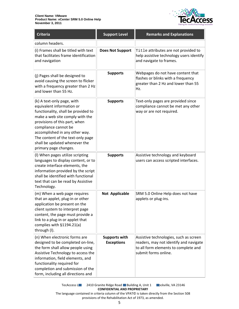

| <b>Criteria</b>                                                                                                                                                                                                                                                                                                             | <b>Support Level</b>                      | <b>Remarks and Explanations</b>                                                                                                                  |
|-----------------------------------------------------------------------------------------------------------------------------------------------------------------------------------------------------------------------------------------------------------------------------------------------------------------------------|-------------------------------------------|--------------------------------------------------------------------------------------------------------------------------------------------------|
| column headers.                                                                                                                                                                                                                                                                                                             |                                           |                                                                                                                                                  |
| (i) Frames shall be titled with text<br>that facilitates frame identification<br>and navigation                                                                                                                                                                                                                             | <b>Does Not Support</b>                   | Title attributes are not provided to<br>help assistive technology users identify<br>and navigate to frames.                                      |
| (j) Pages shall be designed to<br>avoid causing the screen to flicker<br>with a frequency greater than 2 Hz<br>and lower than 55 Hz.                                                                                                                                                                                        | <b>Supports</b>                           | Webpages do not have content that<br>flashes or blinks with a frequency<br>greater than 2 Hz and lower than 55<br>Hz.                            |
| (k) A text-only page, with<br>equivalent information or<br>functionality, shall be provided to<br>make a web site comply with the<br>provisions of this part, when<br>compliance cannot be<br>accomplished in any other way.<br>The content of the text-only page<br>shall be updated whenever the<br>primary page changes. | <b>Supports</b>                           | Text-only pages are provided since<br>compliance cannot be met any other<br>way or are not required.                                             |
| (I) When pages utilize scripting<br>languages to display content, or to<br>create interface elements, the<br>information provided by the script<br>shall be identified with functional<br>text that can be read by Assistive<br>Technology.                                                                                 | <b>Supports</b>                           | Assistive technology and keyboard<br>users can access scripted interfaces.                                                                       |
| (m) When a web page requires<br>that an applet, plug-in or other<br>application be present on the<br>client system to interpret page<br>content, the page must provide a<br>link to a plug-in or applet that<br>complies with §1194.21(a)<br>through (I).                                                                   | Not Applicable                            | SRM 5.0 Online Help does not have<br>applets or plug-ins.                                                                                        |
| (n) When electronic forms are<br>designed to be completed on-line,<br>the form shall allow people using<br>Assistive Technology to access the<br>information, field elements, and<br>functionality required for<br>completion and submission of the<br>form, including all directions and                                   | <b>Supports with</b><br><b>Exceptions</b> | Assistive technologies, such as screen<br>readers, may not identify and navigate<br>to all form elements to complete and<br>submit forms online. |

TecAccess L**LC** 2410 Granite Ridge Road Building A, Unit 1 **Rockville, VA 23146 CONFIDENTIAL AND PROPRIETARY**

The language contained in criteria column of the VPAT© is taken directly from the Section 508 provisions of the Rehabilitation Act of 1973, as amended.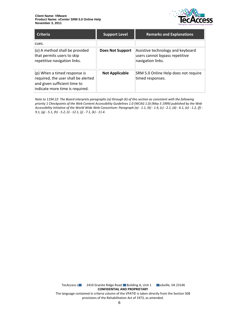

| <b>Criteria</b>                                                                                                                        | <b>Support Level</b>    | <b>Remarks and Explanations</b>                                                          |
|----------------------------------------------------------------------------------------------------------------------------------------|-------------------------|------------------------------------------------------------------------------------------|
| cues.                                                                                                                                  |                         |                                                                                          |
| (o) A method shall be provided<br>that permits users to skip<br>repetitive navigation links.                                           | <b>Does Not Support</b> | Assistive technology and keyboard<br>users cannot bypass repetitive<br>navigation links. |
| (p) When a timed response is<br>required, the user shall be alerted<br>and given sufficient time to<br>indicate more time is required. | <b>Not Applicable</b>   | SRM 5.0 Online Help does not require<br>timed responses.                                 |

*Note to 1194.22: The Board interprets paragraphs (a) through (k) of this section as consistent with the following priority 1 Checkpoints of the Web Content Accessibility Guidelines 1.0 (WCAG 1.0) (May 5 1999) published by the Web Accessibility Initiative of the World Wide Web Consortium: Paragraph (a) - 1.1, (b) - 1.4, (c) - 2.1, (d) - 6.1, (e) - 1.2, (f) - 9.1, (g) - 5.1, (h) - 5.2, (i) - 12.1, (j) - 7.1, (k) - 11.4.*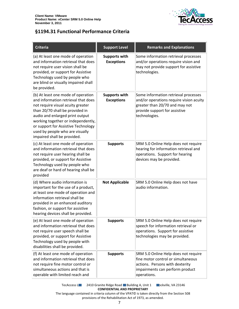

### <span id="page-6-0"></span>**§1194.31 Functional Performance Criteria**

| <b>Criteria</b>                                                                                                                                                                                                                                                                                                                     | <b>Support Level</b>                      | <b>Remarks and Explanations</b>                                                                                                                                     |
|-------------------------------------------------------------------------------------------------------------------------------------------------------------------------------------------------------------------------------------------------------------------------------------------------------------------------------------|-------------------------------------------|---------------------------------------------------------------------------------------------------------------------------------------------------------------------|
| (a) At least one mode of operation<br>and information retrieval that does<br>not require user vision shall be<br>provided, or support for Assistive<br>Technology used by people who<br>are blind or visually impaired shall<br>be provided.                                                                                        | <b>Supports with</b><br><b>Exceptions</b> | Some information retrieval processes<br>and/or operations require vision and<br>may not provide support for assistive<br>technologies.                              |
| (b) At least one mode of operation<br>and information retrieval that does<br>not require visual acuity greater<br>than 20/70 shall be provided in<br>audio and enlarged print output<br>working together or independently,<br>or support for Assistive Technology<br>used by people who are visually<br>impaired shall be provided. | <b>Supports with</b><br><b>Exceptions</b> | Some information retrieval processes<br>and/or operations require vision acuity<br>greater than 20/70 and may not<br>provide support for assistive<br>technologies. |
| (c) At least one mode of operation<br>and information retrieval that does<br>not require user hearing shall be<br>provided, or support for Assistive<br>Technology used by people who<br>are deaf or hard of hearing shall be<br>provided                                                                                           | <b>Supports</b>                           | SRM 5.0 Online Help does not require<br>hearing for information retrieval and<br>operations. Support for hearing<br>devices may be provided.                        |
| (d) Where audio information is<br>important for the use of a product,<br>at least one mode of operation and<br>information retrieval shall be<br>provided in an enhanced auditory<br>fashion, or support for assistive<br>hearing devices shall be provided.                                                                        | <b>Not Applicable</b>                     | SRM 5.0 Online Help does not have<br>audio information.                                                                                                             |
| (e) At least one mode of operation<br>and information retrieval that does<br>not require user speech shall be<br>provided, or support for Assistive<br>Technology used by people with<br>disabilities shall be provided.                                                                                                            | <b>Supports</b>                           | SRM 5.0 Online Help does not require<br>speech for information retrieval or<br>operations. Support for assistive<br>technologies may be provided.                   |
| (f) At least one mode of operation<br>and information retrieval that does<br>not require fine motor control or<br>simultaneous actions and that is<br>operable with limited reach and                                                                                                                                               | <b>Supports</b>                           | SRM 5.0 Online Help does not require<br>fine motor control or simultaneous<br>actions. Persons with dexterity<br>impairments can perform product<br>operations.     |

TecAccess L**LC** 2410 Granite Ridge Road Building A, Unit 1 **Rockville, VA 23146 CONFIDENTIAL AND PROPRIETARY** The language contained in criteria column of the VPAT© is taken directly from the Section 508

provisions of the Rehabilitation Act of 1973, as amended.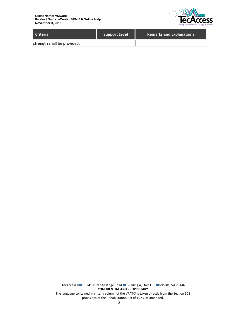

| <b>Criteria</b>             | <b>Support Level</b> | <b>Remarks and Explanations</b> |
|-----------------------------|----------------------|---------------------------------|
| strength shall be provided. |                      |                                 |